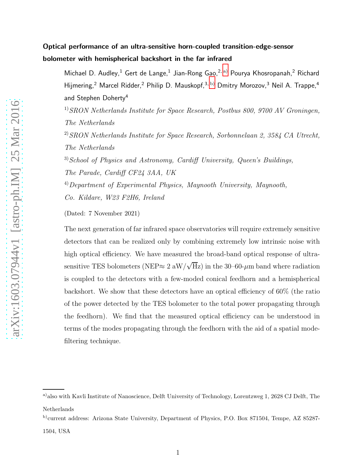# Optical performance of an ultra-sensitive horn-coupled transition-edge-sensor bolometer with hemispherical backshort in the far infrared

Michael D. Audley,<sup>1</sup> Gert de Lange,<sup>1</sup> Jian-Rong Gao,<sup>2, [a\)](#page-0-0)</sup> Pourya Khosropanah,<sup>2</sup> Richard Hijmering,<sup>2</sup> Marcel Ridder,<sup>2</sup> Philip D. Mauskopf,<sup>3, [b\)](#page-0-1)</sup> Dmitry Morozov,<sup>3</sup> Neil A. Trappe,<sup>4</sup> and Stephen Doherty<sup>4</sup>

<sup>1)</sup>SRON Netherlands Institute for Space Research, Postbus 800, 9700 AV Groningen, The Netherlands

 $^{2)}$ SRON Netherlands Institute for Space Research, Sorbonnelaan 2, 3584 CA Utrecht, The Netherlands

 $3)$  School of Physics and Astronomy, Cardiff University, Queen's Buildings, The Parade, Cardiff CF24 3AA, UK

 $^{4)}$ Department of Experimental Physics, Maynooth University, Maynooth, Co. Kildare, W23 F2H6, Ireland

(Dated: 7 November 2021)

The next generation of far infrared space observatories will require extremely sensitive detectors that can be realized only by combining extremely low intrinsic noise with high optical efficiency. We have measured the broad-band optical response of ultrasensitive TES bolometers (NEP $\approx 2$  aW/ $\sqrt{Hz}$ ) in the 30–60- $\mu$ m band where radiation is coupled to the detectors with a few-moded conical feedhorn and a hemispherical backshort. We show that these detectors have an optical efficiency of 60% (the ratio of the power detected by the TES bolometer to the total power propagating through the feedhorn). We find that the measured optical efficiency can be understood in terms of the modes propagating through the feedhorn with the aid of a spatial modefiltering technique.

<span id="page-0-0"></span>a) also with Kavli Institute of Nanoscience, Delft University of Technology, Lorentzweg 1, 2628 CJ Delft, The Netherlands

<span id="page-0-1"></span>b)current address: Arizona State University, Department of Physics, P.O. Box 871504, Tempe, AZ 85287-

<sup>1504,</sup> USA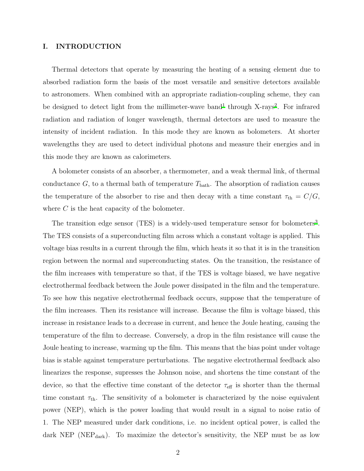## I. INTRODUCTION

Thermal detectors that operate by measuring the heating of a sensing element due to absorbed radiation form the basis of the most versatile and sensitive detectors available to astronomers. When combined with an appropriate radiation-coupling scheme, they can be designed to detect light from the millimeter-wave band<sup>[1](#page-19-0)</sup> through X-rays<sup>[2](#page-19-1)</sup>. For infrared radiation and radiation of longer wavelength, thermal detectors are used to measure the intensity of incident radiation. In this mode they are known as bolometers. At shorter wavelengths they are used to detect individual photons and measure their energies and in this mode they are known as calorimeters.

A bolometer consists of an absorber, a thermometer, and a weak thermal link, of thermal conductance  $G$ , to a thermal bath of temperature  $T_{\text{bath}}$ . The absorption of radiation causes the temperature of the absorber to rise and then decay with a time constant  $\tau_{\text{th}} = C/G$ , where C is the heat capacity of the bolometer.

The transition edge sensor (TES) is a widely-used temperature sensor for bolometers<sup>[3](#page-19-2)</sup>. The TES consists of a superconducting film across which a constant voltage is applied. This voltage bias results in a current through the film, which heats it so that it is in the transition region between the normal and superconducting states. On the transition, the resistance of the film increases with temperature so that, if the TES is voltage biased, we have negative electrothermal feedback between the Joule power dissipated in the film and the temperature. To see how this negative electrothermal feedback occurs, suppose that the temperature of the film increases. Then its resistance will increase. Because the film is voltage biased, this increase in resistance leads to a decrease in current, and hence the Joule heating, causing the temperature of the film to decrease. Conversely, a drop in the film resistance will cause the Joule heating to increase, warming up the film. This means that the bias point under voltage bias is stable against temperature perturbations. The negative electrothermal feedback also linearizes the response, supresses the Johnson noise, and shortens the time constant of the device, so that the effective time constant of the detector  $\tau_{\text{eff}}$  is shorter than the thermal time constant  $\tau_{\text{th}}$ . The sensitivity of a bolometer is characterized by the noise equivalent power (NEP), which is the power loading that would result in a signal to noise ratio of 1. The NEP measured under dark conditions, i.e. no incident optical power, is called the dark NEP (NEP<sub>dark</sub>). To maximize the detector's sensitivity, the NEP must be as low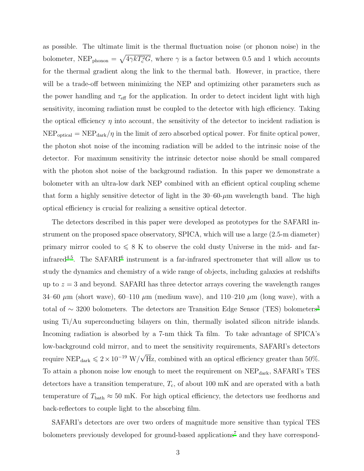as possible. The ultimate limit is the thermal fluctuation noise (or phonon noise) in the bolometer, NEP<sub>phonon</sub> =  $\sqrt{4\gamma kT_c^2G}$ , where  $\gamma$  is a factor between 0.5 and 1 which accounts for the thermal gradient along the link to the thermal bath. However, in practice, there will be a trade-off between minimizing the NEP and optimizing other parameters such as the power handling and  $\tau_{\text{eff}}$  for the application. In order to detect incident light with high sensitivity, incoming radiation must be coupled to the detector with high efficiency. Taking the optical efficiency  $\eta$  into account, the sensitivity of the detector to incident radiation is  $NEP_{\text{optical}} = NEP_{\text{dark}}/\eta$  in the limit of zero absorbed optical power. For finite optical power, the photon shot noise of the incoming radiation will be added to the intrinsic noise of the detector. For maximum sensitivity the intrinsic detector noise should be small compared with the photon shot noise of the background radiation. In this paper we demonstrate a bolometer with an ultra-low dark NEP combined with an efficient optical coupling scheme that form a highly sensitive detector of light in the  $30-60-\mu m$  wavelength band. The high optical efficiency is crucial for realizing a sensitive optical detector.

The detectors described in this paper were developed as prototypes for the SAFARI instrument on the proposed space observatory, SPICA, which will use a large (2.5-m diameter) primary mirror cooled to  $\leq 8$  K to observe the cold dusty Universe in the mid- and far-infrared<sup>[4](#page-19-3)[,5](#page-19-4)</sup>. The SAFARI<sup>[6](#page-19-5)</sup> instrument is a far-infrared spectrometer that will allow us to study the dynamics and chemistry of a wide range of objects, including galaxies at redshifts up to  $z = 3$  and beyond. SAFARI has three detector arrays covering the wavelength ranges 34–60  $\mu$ m (short wave), 60–110  $\mu$ m (medium wave), and 110–210  $\mu$ m (long wave), with a total of <sup>∼</sup> 3200 bolometers. The detectors are Transition Edge Sensor (TES) bolometers[3](#page-19-2) using Ti/Au superconducting bilayers on thin, thermally isolated silicon nitride islands. Incoming radiation is absorbed by a 7-nm thick Ta film. To take advantage of SPICA's low-background cold mirror, and to meet the sensitivity requirements, SAFARI's detectors require NEP<sub>dark</sub>  $\leq 2 \times 10^{-19}$  W/ $\sqrt{Hz}$ , combined with an optical efficiency greater than 50%. To attain a phonon noise low enough to meet the requirement on  $NEP<sub>dark</sub>$ , SAFARI's TES detectors have a transition temperature,  $T_c$ , of about 100 mK and are operated with a bath temperature of  $T_{\text{bath}} \approx 50 \text{ mK}$ . For high optical efficiency, the detectors use feedhorns and back-reflectors to couple light to the absorbing film.

SAFARI's detectors are over two orders of magnitude more sensitive than typical TES bolometers previously developed for ground-based applications<sup>[7](#page-19-6)</sup> and they have correspond-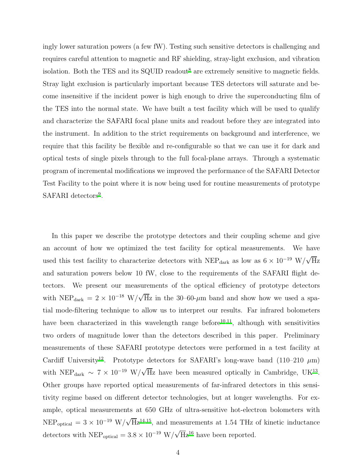ingly lower saturation powers (a few fW). Testing such sensitive detectors is challenging and requires careful attention to magnetic and RF shielding, stray-light exclusion, and vibration isolation. Both the TES and its SQUID readout<sup>[8](#page-19-7)</sup> are extremely sensitive to magnetic fields. Stray light exclusion is particularly important because TES detectors will saturate and become insensitive if the incident power is high enough to drive the superconducting film of the TES into the normal state. We have built a test facility which will be used to qualify and characterize the SAFARI focal plane units and readout before they are integrated into the instrument. In addition to the strict requirements on background and interference, we require that this facility be flexible and re-configurable so that we can use it for dark and optical tests of single pixels through to the full focal-plane arrays. Through a systematic program of incremental modifications we improved the performance of the SAFARI Detector Test Facility to the point where it is now being used for routine measurements of prototype SAFARI detectors<sup>[9](#page-19-8)</sup>.

In this paper we describe the prototype detectors and their coupling scheme and give an account of how we optimized the test facility for optical measurements. We have used this test facility to characterize detectors with  $NEP_{dark}$  as low as  $6 \times 10^{-19}$  W/ $\sqrt{Hz}$ and saturation powers below 10 fW, close to the requirements of the SAFARI flight detectors. We present our measurements of the optical efficiency of prototype detectors with  $NEP_{dark} = 2 \times 10^{-18}$  W/ $\sqrt{Hz}$  in the 30–60- $\mu$ m band and show how we used a spatial mode-filtering technique to allow us to interpret our results. Far infrared bolometers have been characterized in this wavelength range before<sup>[10](#page-19-9)[,11](#page-20-0)</sup>, although with sensitivities two orders of magnitude lower than the detectors described in this paper. Preliminary measurements of these SAFARI prototype detectors were performed in a test facility at Cardiff University<sup>[12](#page-20-1)</sup>. Prototype detectors for SAFARI's long-wave band (110–210  $\mu$ m) with NEP<sub>dark</sub> ~  $7 \times 10^{-19}$  W/ $\sqrt{Hz}$  have been measured optically in Cambridge, UK<sup>[13](#page-20-2)</sup>. Other groups have reported optical measurements of far-infrared detectors in this sensitivity regime based on different detector technologies, but at longer wavelengths. For example, optical measurements at 650 GHz of ultra-sensitive hot-electron bolometers with  $NEP_{\text{optical}} = 3 \times 10^{-19} \text{ W}/\sqrt{\text{Hz}}^{14,15}$  $NEP_{\text{optical}} = 3 \times 10^{-19} \text{ W}/\sqrt{\text{Hz}}^{14,15}$  $NEP_{\text{optical}} = 3 \times 10^{-19} \text{ W}/\sqrt{\text{Hz}}^{14,15}$  $NEP_{\text{optical}} = 3 \times 10^{-19} \text{ W}/\sqrt{\text{Hz}}^{14,15}$ , and measurements at 1.54 THz of kinetic inductance detectors with NEP<sub>optical</sub> =  $3.8 \times 10^{-19}$  W/ $\sqrt{\text{Hz}}^{16}$  $\sqrt{\text{Hz}}^{16}$  $\sqrt{\text{Hz}}^{16}$  have been reported.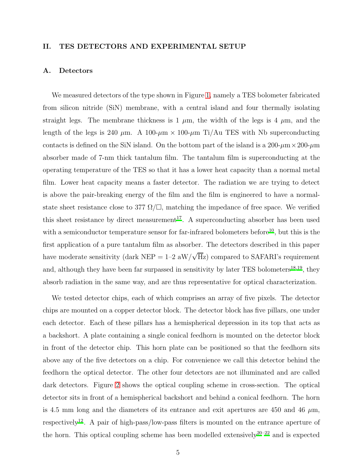## II. TES DETECTORS AND EXPERIMENTAL SETUP

## A. Detectors

We measured detectors of the type shown in Figure [1,](#page-5-0) namely a TES bolometer fabricated from silicon nitride (SiN) membrane, with a central island and four thermally isolating straight legs. The membrane thickness is 1  $\mu$ m, the width of the legs is 4  $\mu$ m, and the length of the legs is 240  $\mu$ m. A 100- $\mu$ m  $\times$  100- $\mu$ m Ti/Au TES with Nb superconducting contacts is defined on the SiN island. On the bottom part of the island is a  $200-\mu m \times 200-\mu m$ absorber made of 7-nm thick tantalum film. The tantalum film is superconducting at the operating temperature of the TES so that it has a lower heat capacity than a normal metal film. Lower heat capacity means a faster detector. The radiation we are trying to detect is above the pair-breaking energy of the film and the film is engineered to have a normalstate sheet resistance close to 377  $\Omega/\square$ , matching the impedance of free space. We verified this sheet resistance by direct measurement<sup>[17](#page-20-6)</sup>. A superconducting absorber has been used with a semiconductor temperature sensor for far-infrared bolometers before<sup>[10](#page-19-9)</sup>, but this is the first application of a pure tantalum film as absorber. The detectors described in this paper have moderate sensitivity (dark NEP =  $1-2$  aW/ $\sqrt{Hz}$ ) compared to SAFARI's requirement and, although they have been far surpassed in sensitivity by later TES bolometers $^{18,19}$  $^{18,19}$  $^{18,19}$  $^{18,19}$ , they absorb radiation in the same way, and are thus representative for optical characterization.

We tested detector chips, each of which comprises an array of five pixels. The detector chips are mounted on a copper detector block. The detector block has five pillars, one under each detector. Each of these pillars has a hemispherical depression in its top that acts as a backshort. A plate containing a single conical feedhorn is mounted on the detector block in front of the detector chip. This horn plate can be positioned so that the feedhorn sits above any of the five detectors on a chip. For convenience we call this detector behind the feedhorn the optical detector. The other four detectors are not illuminated and are called dark detectors. Figure [2](#page-6-0) shows the optical coupling scheme in cross-section. The optical detector sits in front of a hemispherical backshort and behind a conical feedhorn. The horn is 4.5 mm long and the diameters of its entrance and exit apertures are 450 and 46  $\mu$ m, respectively<sup>[12](#page-20-1)</sup>. A pair of high-pass/low-pass filters is mounted on the entrance aperture of the horn. This optical coupling scheme has been modelled extensively<sup>[20](#page-20-9)[–22](#page-20-10)</sup> and is expected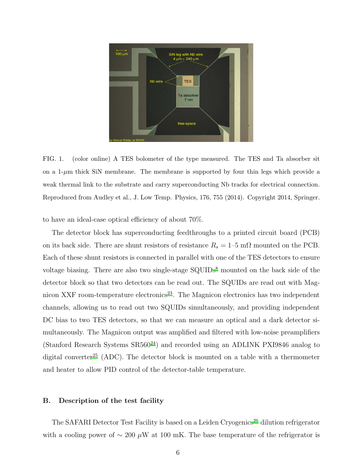

<span id="page-5-0"></span>FIG. 1. (color online) A TES bolometer of the type measured. The TES and Ta absorber sit on a  $1-\mu m$  thick SiN membrane. The membrane is supported by four thin legs which provide a weak thermal link to the substrate and carry superconducting Nb tracks for electrical connection. Reproduced from Audley et al., J. Low Temp. Physics, 176, 755 (2014). Copyright 2014, Springer.

to have an ideal-case optical efficiency of about 70%.

The detector block has superconducting feedthroughs to a printed circuit board (PCB) on its back side. There are shunt resistors of resistance  $R_s = 1-5$  m $\Omega$  mounted on the PCB. Each of these shunt resistors is connected in parallel with one of the TES detectors to ensure voltage biasing. There are also two single-stage  $\text{SQUIDS}^8$  $\text{SQUIDS}^8$  mounted on the back side of the detector block so that two detectors can be read out. The SQUIDs are read out with Mag-nicon XXF room-temperature electronics<sup>[23](#page-21-0)</sup>. The Magnicon electronics has two independent channels, allowing us to read out two SQUIDs simultaneously, and providing independent DC bias to two TES detectors, so that we can measure an optical and a dark detector simultaneously. The Magnicon output was amplified and filtered with low-noise preamplifiers (Stanford Research Systems  $SR560^{24}$  $SR560^{24}$  $SR560^{24}$ ) and recorded using an ADLINK PXI9846 analog to digital converter<sup>[25](#page-21-2)</sup> (ADC). The detector block is mounted on a table with a thermometer and heater to allow PID control of the detector-table temperature.

#### B. Description of the test facility

The SAFARI Detector Test Facility is based on a Leiden Cryogenics<sup>[26](#page-21-3)</sup> dilution refrigerator with a cooling power of  $\sim 200 \mu W$  at 100 mK. The base temperature of the refrigerator is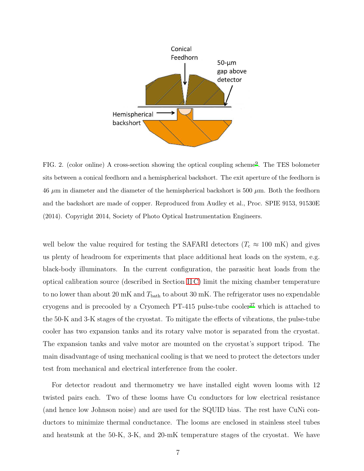

<span id="page-6-0"></span>FIG. 2. (color online) A cross-section showing the optical coupling scheme<sup>[9](#page-19-8)</sup>. The TES bolometer sits between a conical feedhorn and a hemispherical backshort. The exit aperture of the feedhorn is 46  $\mu$ m in diameter and the diameter of the hemispherical backshort is 500  $\mu$ m. Both the feedhorn and the backshort are made of copper. Reproduced from Audley et al., Proc. SPIE 9153, 91530E (2014). Copyright 2014, Society of Photo Optical Instrumentation Engineers.

well below the value required for testing the SAFARI detectors ( $T_c \approx 100$  mK) and gives us plenty of headroom for experiments that place additional heat loads on the system, e.g. black-body illuminators. In the current configuration, the parasitic heat loads from the optical calibration source (described in Section [II C\)](#page-7-0) limit the mixing chamber temperature to no lower than about 20 mK and  $T_{\text{bath}}$  to about 30 mK. The refrigerator uses no expendable cryogens and is precooled by a Cryomech PT-415 pulse-tube cooler<sup>[27](#page-21-4)</sup> which is attached to the 50-K and 3-K stages of the cryostat. To mitigate the effects of vibrations, the pulse-tube cooler has two expansion tanks and its rotary valve motor is separated from the cryostat. The expansion tanks and valve motor are mounted on the cryostat's support tripod. The main disadvantage of using mechanical cooling is that we need to protect the detectors under test from mechanical and electrical interference from the cooler.

For detector readout and thermometry we have installed eight woven looms with 12 twisted pairs each. Two of these looms have Cu conductors for low electrical resistance (and hence low Johnson noise) and are used for the SQUID bias. The rest have CuNi conductors to minimize thermal conductance. The looms are enclosed in stainless steel tubes and heatsunk at the 50-K, 3-K, and 20-mK temperature stages of the cryostat. We have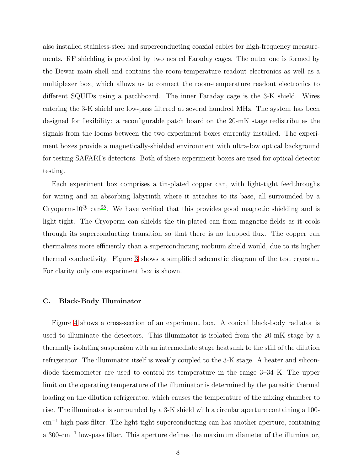also installed stainless-steel and superconducting coaxial cables for high-frequency measurements. RF shielding is provided by two nested Faraday cages. The outer one is formed by the Dewar main shell and contains the room-temperature readout electronics as well as a multiplexer box, which allows us to connect the room-temperature readout electronics to different SQUIDs using a patchboard. The inner Faraday cage is the 3-K shield. Wires entering the 3-K shield are low-pass filtered at several hundred MHz. The system has been designed for flexibility: a reconfigurable patch board on the 20-mK stage redistributes the signals from the looms between the two experiment boxes currently installed. The experiment boxes provide a magnetically-shielded environment with ultra-low optical background for testing SAFARI's detectors. Both of these experiment boxes are used for optical detector testing.

Each experiment box comprises a tin-plated copper can, with light-tight feedthroughs for wiring and an absorbing labyrinth where it attaches to its base, all surrounded by a Cryoperm-10<sup>®</sup> can<sup>[28](#page-21-5)</sup>. We have verified that this provides good magnetic shielding and is light-tight. The Cryoperm can shields the tin-plated can from magnetic fields as it cools through its superconducting transition so that there is no trapped flux. The copper can thermalizes more efficiently than a superconducting niobium shield would, due to its higher thermal conductivity. Figure [3](#page-8-0) shows a simplified schematic diagram of the test cryostat. For clarity only one experiment box is shown.

#### <span id="page-7-0"></span>C. Black-Body Illuminator

Figure [4](#page-9-0) shows a cross-section of an experiment box. A conical black-body radiator is used to illuminate the detectors. This illuminator is isolated from the 20-mK stage by a thermally isolating suspension with an intermediate stage heatsunk to the still of the dilution refrigerator. The illuminator itself is weakly coupled to the 3-K stage. A heater and silicondiode thermometer are used to control its temperature in the range 3–34 K. The upper limit on the operating temperature of the illuminator is determined by the parasitic thermal loading on the dilution refrigerator, which causes the temperature of the mixing chamber to rise. The illuminator is surrounded by a 3-K shield with a circular aperture containing a 100 cm<sup>−</sup><sup>1</sup> high-pass filter. The light-tight superconducting can has another aperture, containing a 300-cm<sup>−</sup><sup>1</sup> low-pass filter. This aperture defines the maximum diameter of the illuminator,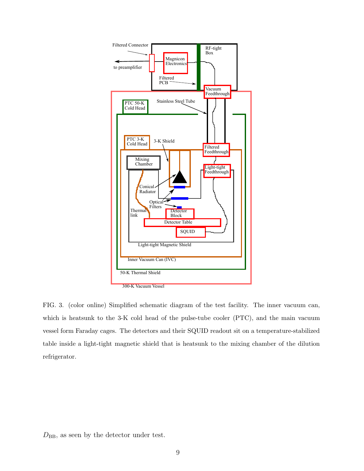

<span id="page-8-0"></span>FIG. 3. (color online) Simplified schematic diagram of the test facility. The inner vacuum can, which is heatsunk to the 3-K cold head of the pulse-tube cooler (PTC), and the main vacuum vessel form Faraday cages. The detectors and their SQUID readout sit on a temperature-stabilized table inside a light-tight magnetic shield that is heatsunk to the mixing chamber of the dilution refrigerator.

 $D_{\text{BB}}$ , as seen by the detector under test.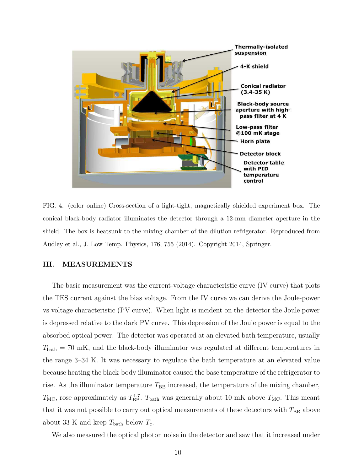

FIG. 4. (color online) Cross-section of a light-tight, magnetically shielded experiment box. The conical black-body radiator illuminates the detector through a 12-mm diameter aperture in the shield. The box is heatsunk to the mixing chamber of the dilution refrigerator. Reproduced from Audley et al., J. Low Temp. Physics, 176, 755 (2014). Copyright 2014, Springer.

# <span id="page-9-0"></span>III. MEASUREMENTS

The basic measurement was the current-voltage characteristic curve (IV curve) that plots the TES current against the bias voltage. From the IV curve we can derive the Joule-power vs voltage characteristic (PV curve). When light is incident on the detector the Joule power is depressed relative to the dark PV curve. This depression of the Joule power is equal to the absorbed optical power. The detector was operated at an elevated bath temperature, usually  $T_{\text{bath}} = 70 \text{ mK}$ , and the black-body illuminator was regulated at different temperatures in the range 3–34 K. It was necessary to regulate the bath temperature at an elevated value because heating the black-body illuminator caused the base temperature of the refrigerator to rise. As the illuminator temperature  $T_{\text{BB}}$  increased, the temperature of the mixing chamber,  $T_{\text{MC}}$ , rose approximately as  $T_{\text{BB}}^{1.7}$ . T<sub>bath</sub> was generally about 10 mK above  $T_{\text{MC}}$ . This meant that it was not possible to carry out optical measurements of these detectors with  $T_{\text{BB}}$  above about 33 K and keep  $T_{\text{bath}}$  below  $T_{\text{c}}$ .

We also measured the optical photon noise in the detector and saw that it increased under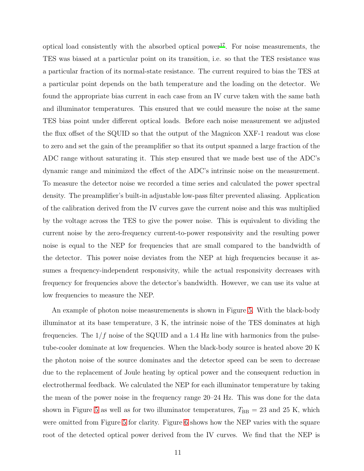optical load consistently with the absorbed optical power<sup>[17](#page-20-6)</sup>. For noise measurements, the TES was biased at a particular point on its transition, i.e. so that the TES resistance was a particular fraction of its normal-state resistance. The current required to bias the TES at a particular point depends on the bath temperature and the loading on the detector. We found the appropriate bias current in each case from an IV curve taken with the same bath and illuminator temperatures. This ensured that we could measure the noise at the same TES bias point under different optical loads. Before each noise measurement we adjusted the flux offset of the SQUID so that the output of the Magnicon XXF-1 readout was close to zero and set the gain of the preamplifier so that its output spanned a large fraction of the ADC range without saturating it. This step ensured that we made best use of the ADC's dynamic range and minimized the effect of the ADC's intrinsic noise on the measurement. To measure the detector noise we recorded a time series and calculated the power spectral density. The preamplifier's built-in adjustable low-pass filter prevented aliasing. Application of the calibration derived from the IV curves gave the current noise and this was multiplied by the voltage across the TES to give the power noise. This is equivalent to dividing the current noise by the zero-frequency current-to-power responsivity and the resulting power noise is equal to the NEP for frequencies that are small compared to the bandwidth of the detector. This power noise deviates from the NEP at high frequencies because it assumes a frequency-independent responsivity, while the actual responsivity decreases with frequency for frequencies above the detector's bandwidth. However, we can use its value at low frequencies to measure the NEP.

An example of photon noise measuremenents is shown in Figure [5.](#page-11-0) With the black-body illuminator at its base temperature, 3 K, the intrinsic noise of the TES dominates at high frequencies. The  $1/f$  noise of the SQUID and a 1.4 Hz line with harmonics from the pulsetube-cooler dominate at low frequencies. When the black-body source is heated above 20 K the photon noise of the source dominates and the detector speed can be seen to decrease due to the replacement of Joule heating by optical power and the consequent reduction in electrothermal feedback. We calculated the NEP for each illuminator temperature by taking the mean of the power noise in the frequency range 20–24 Hz. This was done for the data shown in Figure [5](#page-11-0) as well as for two illuminator temperatures,  $T_{\text{BB}} = 23$  and 25 K, which were omitted from Figure [5](#page-11-0) for clarity. Figure [6](#page-12-0) shows how the NEP varies with the square root of the detected optical power derived from the IV curves. We find that the NEP is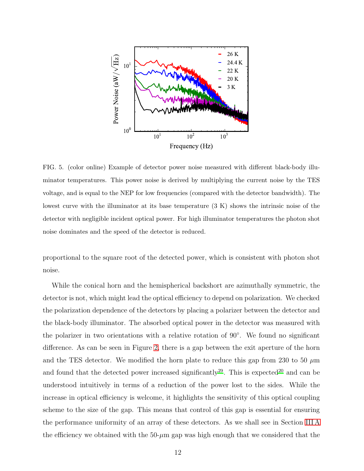

<span id="page-11-0"></span>FIG. 5. (color online) Example of detector power noise measured with different black-body illuminator temperatures. This power noise is derived by multiplying the current noise by the TES voltage, and is equal to the NEP for low frequencies (compared with the detector bandwidth). The lowest curve with the illuminator at its base temperature (3 K) shows the intrinsic noise of the detector with negligible incident optical power. For high illuminator temperatures the photon shot noise dominates and the speed of the detector is reduced.

proportional to the square root of the detected power, which is consistent with photon shot noise.

While the conical horn and the hemispherical backshort are azimuthally symmetric, the detector is not, which might lead the optical efficiency to depend on polarization. We checked the polarization dependence of the detectors by placing a polarizer between the detector and the black-body illuminator. The absorbed optical power in the detector was measured with the polarizer in two orientations with a relative rotation of 90◦ . We found no significant difference. As can be seen in Figure [2,](#page-6-0) there is a gap between the exit aperture of the horn and the TES detector. We modified the horn plate to reduce this gap from 230 to 50  $\mu$ m and found that the detected power increased significantly<sup>[29](#page-21-6)</sup>. This is expected<sup>[20](#page-20-9)</sup> and can be understood intuitively in terms of a reduction of the power lost to the sides. While the increase in optical efficiency is welcome, it highlights the sensitivity of this optical coupling scheme to the size of the gap. This means that control of this gap is essential for ensuring the performance uniformity of an array of these detectors. As we shall see in Section [III A](#page-12-1) the efficiency we obtained with the  $50-\mu m$  gap was high enough that we considered that the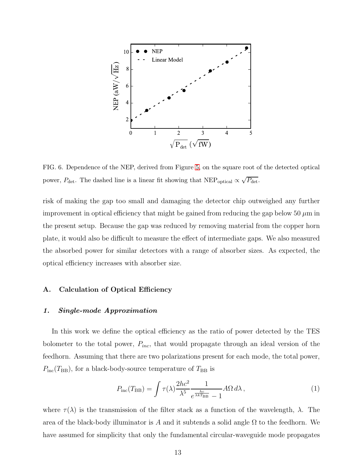

<span id="page-12-0"></span>FIG. 6. Dependence of the NEP, derived from Figure [5,](#page-11-0) on the square root of the detected optical power,  $P_{\text{det}}$ . The dashed line is a linear fit showing that NEP<sub>optical</sub>  $\propto \sqrt{P_{\text{det}}}$ .

risk of making the gap too small and damaging the detector chip outweighed any further improvement in optical efficiency that might be gained from reducing the gap below 50  $\mu$ m in the present setup. Because the gap was reduced by removing material from the copper horn plate, it would also be difficult to measure the effect of intermediate gaps. We also measured the absorbed power for similar detectors with a range of absorber sizes. As expected, the optical efficiency increases with absorber size.

## <span id="page-12-1"></span>A. Calculation of Optical Efficiency

## 1. Single-mode Approximation

In this work we define the optical efficiency as the ratio of power detected by the TES bolometer to the total power,  $P_{inc}$ , that would propagate through an ideal version of the feedhorn. Assuming that there are two polarizations present for each mode, the total power,  $P_{\text{inc}}(T_{\text{BB}})$ , for a black-body-source temperature of  $T_{\text{BB}}$  is

$$
P_{\rm inc}(T_{\rm BB}) = \int \tau(\lambda) \frac{2hc^2}{\lambda^5} \frac{1}{e^{\frac{hc}{\lambda k T_{\rm BB}}} - 1} A\Omega \, d\lambda \,, \tag{1}
$$

where  $\tau(\lambda)$  is the transmission of the filter stack as a function of the wavelength,  $\lambda$ . The area of the black-body illuminator is A and it subtends a solid angle  $\Omega$  to the feedhorn. We have assumed for simplicity that only the fundamental circular-waveguide mode propagates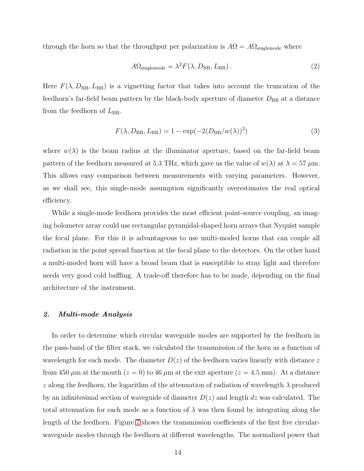through the horn so that the throughput per polarization is  $A\Omega = A\Omega_{\text{singularode}}$  where

$$
A\Omega_{\text{singularode}} = \lambda^2 F(\lambda, D_{\text{BB}}, L_{\text{BB}}). \tag{2}
$$

Here  $F(\lambda, D_{\text{BB}}, L_{\text{BB}})$  is a vignetting factor that takes into account the truncation of the feedhorn's far-field beam pattern by the black-body aperture of diameter  $D_{\text{BB}}$  at a distance from the feedhorn of  $L_{\text{BB}}$ .

$$
F(\lambda, D_{\text{BB}}, L_{\text{BB}}) = 1 - \exp(-2(D_{\text{BB}}/w(\lambda))^2)
$$
 (3)

where  $w(\lambda)$  is the beam radius at the illuminator aperture, based on the far-field beam pattern of the feedhorn measured at 5.3 THz, which gave us the value of  $w(\lambda)$  at  $\lambda = 57 \mu m$ . This allows easy comparison between measurements with varying parameters. However, as we shall see, this single-mode assumption significantly overestimates the real optical efficiency.

While a single-mode feedhorn provides the most efficient point-source coupling, an imaging bolometer array could use rectangular pyramidal-shaped horn arrays that Nyquist sample the focal plane. For this it is advantageous to use multi-moded horns that can couple all radiation in the point spread function at the focal plane to the detectors. On the other hand a multi-moded horn will have a broad beam that is susceptible to stray light and therefore needs very good cold baffling. A trade-off therefore has to be made, depending on the final architecture of the instrument.

#### 2. Multi-mode Analysis

In order to determine which circular waveguide modes are supported by the feedhorn in the pass-band of the filter stack, we calculated the transmission of the horn as a function of wavelength for each mode. The diameter  $D(z)$  of the feedhorn varies linearly with distance z from 450  $\mu$ m at the mouth ( $z = 0$ ) to 46  $\mu$ m at the exit aperture ( $z = 4.5$  mm). At a distance z along the feedhorn, the logarithm of the attenuation of radiation of wavelength  $\lambda$  produced by an infinitesimal section of waveguide of diameter  $D(z)$  and length dz was calculated. The total attenuation for each mode as a function of  $\lambda$  was then found by integrating along the length of the feedhorn. Figure [7](#page-15-0) shows the transmission coefficients of the first five circularwaveguide modes through the feedhorn at different wavelengths. The normalized power that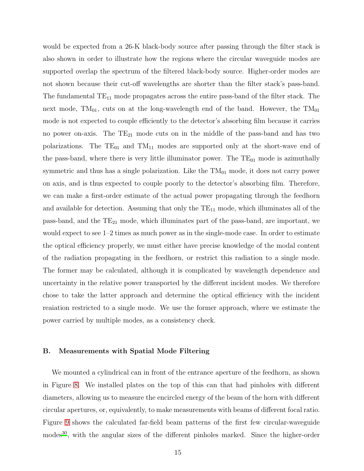would be expected from a 26-K black-body source after passing through the filter stack is also shown in order to illustrate how the regions where the circular waveguide modes are supported overlap the spectrum of the filtered black-body source. Higher-order modes are not shown because their cut-off wavelengths are shorter than the filter stack's pass-band. The fundamental  $TE_{11}$  mode propagates across the entire pass-band of the filter stack. The next mode,  $TM_{01}$ , cuts on at the long-wavelength end of the band. However, the  $TM_{01}$ mode is not expected to couple efficiently to the detector's absorbing film because it carries no power on-axis. The  $TE_{21}$  mode cuts on in the middle of the pass-band and has two polarizations. The  $TE_{01}$  and  $TM_{11}$  modes are supported only at the short-wave end of the pass-band, where there is very little illuminator power. The  $TE_{01}$  mode is azimuthally symmetric and thus has a single polarization. Like the  $TM_{01}$  mode, it does not carry power on axis, and is thus expected to couple poorly to the detector's absorbing film. Therefore, we can make a first-order estimate of the actual power propagating through the feedhorn and available for detection. Assuming that only the  $TE_{11}$  mode, which illuminates all of the pass-band, and the  $TE_{21}$  mode, which illuminates part of the pass-band, are important, we would expect to see 1–2 times as much power as in the single-mode case. In order to estimate the optical efficiency properly, we must either have precise knowledge of the modal content of the radiation propagating in the feedhorn, or restrict this radiation to a single mode. The former may be calculated, although it is complicated by wavelength dependence and uncertainty in the relative power transported by the different incident modes. We therefore chose to take the latter approach and determine the optical efficiency with the incident reaiation restricted to a single mode. We use the former approach, where we estimate the power carried by multiple modes, as a consistency check.

#### B. Measurements with Spatial Mode Filtering

We mounted a cylindrical can in front of the entrance aperture of the feedhorn, as shown in Figure [8.](#page-15-1) We installed plates on the top of this can that had pinholes with different diameters, allowing us to measure the encircled energy of the beam of the horn with different circular apertures, or, equivalently, to make measurements with beams of different focal ratio. Figure [9](#page-16-0) shows the calculated far-field beam patterns of the first few circular-waveguide modes<sup>[30](#page-21-7)</sup>, with the angular sizes of the different pinholes marked. Since the higher-order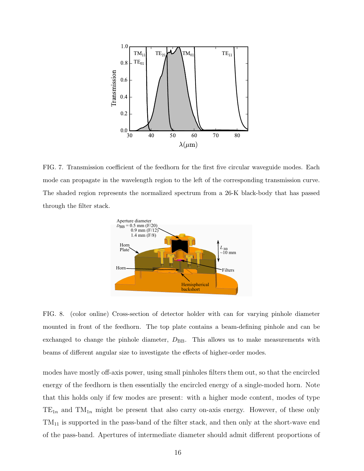

<span id="page-15-0"></span>FIG. 7. Transmission coefficient of the feedhorn for the first five circular waveguide modes. Each mode can propagate in the wavelength region to the left of the corresponding transmission curve. The shaded region represents the normalized spectrum from a 26-K black-body that has passed through the filter stack.



<span id="page-15-1"></span>FIG. 8. (color online) Cross-section of detector holder with can for varying pinhole diameter mounted in front of the feedhorn. The top plate contains a beam-defining pinhole and can be exchanged to change the pinhole diameter,  $D_{BB}$ . This allows us to make measurements with beams of different angular size to investigate the effects of higher-order modes.

modes have mostly off-axis power, using small pinholes filters them out, so that the encircled energy of the feedhorn is then essentially the encircled energy of a single-moded horn. Note that this holds only if few modes are present: with a higher mode content, modes of type  $TE_{1n}$  and  $TM_{1n}$  might be present that also carry on-axis energy. However, of these only  $TM_{11}$  is supported in the pass-band of the filter stack, and then only at the short-wave end of the pass-band. Apertures of intermediate diameter should admit different proportions of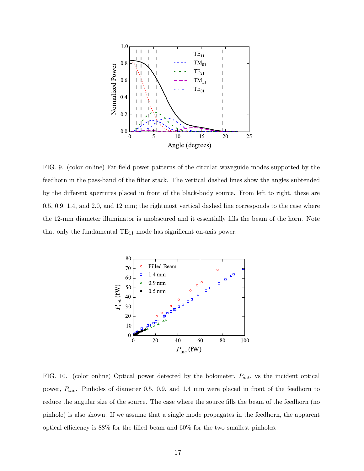

<span id="page-16-0"></span>FIG. 9. (color online) Far-field power patterns of the circular waveguide modes supported by the feedhorn in the pass-band of the filter stack. The vertical dashed lines show the angles subtended by the different apertures placed in front of the black-body source. From left to right, these are 0.5, 0.9, 1.4, and 2.0, and 12 mm; the rightmost vertical dashed line corresponds to the case where the 12-mm diameter illuminator is unobscured and it essentially fills the beam of the horn. Note that only the fundamental  $TE_{11}$  mode has significant on-axis power.



<span id="page-16-1"></span>FIG. 10. (color online) Optical power detected by the bolometer,  $P_{det}$ , vs the incident optical power,  $P_{inc}$ . Pinholes of diameter 0.5, 0.9, and 1.4 mm were placed in front of the feedhorn to reduce the angular size of the source. The case where the source fills the beam of the feedhorn (no pinhole) is also shown. If we assume that a single mode propagates in the feedhorn, the apparent optical efficiency is 88% for the filled beam and 60% for the two smallest pinholes.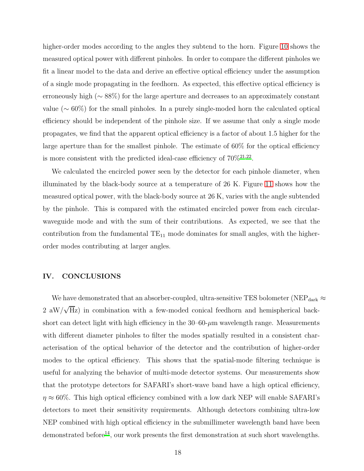higher-order modes according to the angles they subtend to the horn. Figure [10](#page-16-1) shows the measured optical power with different pinholes. In order to compare the different pinholes we fit a linear model to the data and derive an effective optical efficiency under the assumption of a single mode propagating in the feedhorn. As expected, this effective optical efficiency is erroneously high (∼ 88%) for the large aperture and decreases to an approximately constant value (∼ 60%) for the small pinholes. In a purely single-moded horn the calculated optical efficiency should be independent of the pinhole size. If we assume that only a single mode propagates, we find that the apparent optical efficiency is a factor of about 1.5 higher for the large aperture than for the smallest pinhole. The estimate of 60% for the optical efficiency is more consistent with the predicted ideal-case efficiency of  $70\%^{21,22}$  $70\%^{21,22}$  $70\%^{21,22}$  $70\%^{21,22}$ .

We calculated the encircled power seen by the detector for each pinhole diameter, when illuminated by the black-body source at a temperature of 26 K. Figure [11](#page-18-0) shows how the measured optical power, with the black-body source at 26 K, varies with the angle subtended by the pinhole. This is compared with the estimated encircled power from each circularwaveguide mode and with the sum of their contributions. As expected, we see that the contribution from the fundamental  $TE_{11}$  mode dominates for small angles, with the higherorder modes contributing at larger angles.

## IV. CONCLUSIONS

We have demonstrated that an absorber-coupled, ultra-sensitive TES bolometer (NEP $_{\rm dark}$   $\approx$ 2 aW/ $\sqrt{H}z$ ) in combination with a few-moded conical feedhorn and hemispherical backshort can detect light with high efficiency in the  $30-60-\mu m$  wavelength range. Measurements with different diameter pinholes to filter the modes spatially resulted in a consistent characterisation of the optical behavior of the detector and the contribution of higher-order modes to the optical efficiency. This shows that the spatial-mode filtering technique is useful for analyzing the behavior of multi-mode detector systems. Our measurements show that the prototype detectors for SAFARI's short-wave band have a high optical efficiency,  $\eta \approx 60\%$ . This high optical efficiency combined with a low dark NEP will enable SAFARI's detectors to meet their sensitivity requirements. Although detectors combining ultra-low NEP combined with high optical efficiency in the submillimeter wavelength band have been demonstrated before<sup>[14](#page-20-3)</sup>, our work presents the first demonstration at such short wavelengths.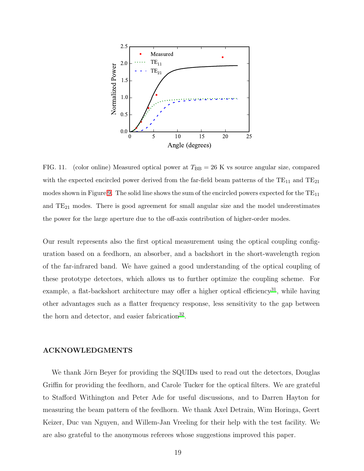

<span id="page-18-0"></span>FIG. 11. (color online) Measured optical power at  $T_{\text{BB}} = 26$  K vs source angular size, compared with the expected encircled power derived from the far-field beam patterns of the  $TE_{11}$  and  $TE_{21}$ modes shown in Figure [9.](#page-16-0) The solid line shows the sum of the encircled powers expected for the  $TE_{11}$ and  $TE_{21}$  modes. There is good agreement for small angular size and the model underestimates the power for the large aperture due to the off-axis contribution of higher-order modes.

Our result represents also the first optical measurement using the optical coupling configuration based on a feedhorn, an absorber, and a backshort in the short-wavelength region of the far-infrared band. We have gained a good understanding of the optical coupling of these prototype detectors, which allows us to further optimize the coupling scheme. For example, a flat-backshort architecture may offer a higher optical efficiency<sup>[31](#page-21-8)</sup>, while having other advantages such as a flatter frequency response, less sensitivity to the gap between the horn and detector, and easier fabrication<sup>[32](#page-21-9)</sup>.

# ACKNOWLEDGMENTS

We thank Jörn Beyer for providing the SQUIDs used to read out the detectors, Douglas Griffin for providing the feedhorn, and Carole Tucker for the optical filters. We are grateful to Stafford Withington and Peter Ade for useful discussions, and to Darren Hayton for measuring the beam pattern of the feedhorn. We thank Axel Detrain, Wim Horinga, Geert Keizer, Duc van Nguyen, and Willem-Jan Vreeling for their help with the test facility. We are also grateful to the anonymous referees whose suggestions improved this paper.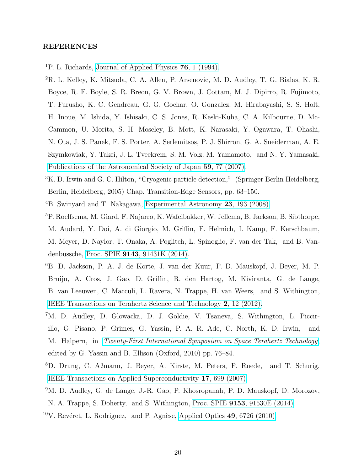# REFERENCES

- <span id="page-19-0"></span><sup>1</sup>P. L. Richards, [Journal of Applied Physics](http://dx.doi.org/10.1063/1.357128) **76**, 1 (1994).
- <span id="page-19-1"></span><sup>2</sup>R. L. Kelley, K. Mitsuda, C. A. Allen, P. Arsenovic, M. D. Audley, T. G. Bialas, K. R. Boyce, R. F. Boyle, S. R. Breon, G. V. Brown, J. Cottam, M. J. Dipirro, R. Fujimoto, T. Furusho, K. C. Gendreau, G. G. Gochar, O. Gonzalez, M. Hirabayashi, S. S. Holt, H. Inoue, M. Ishida, Y. Ishisaki, C. S. Jones, R. Keski-Kuha, C. A. Kilbourne, D. Mc-Cammon, U. Morita, S. H. Moseley, B. Mott, K. Narasaki, Y. Ogawara, T. Ohashi, N. Ota, J. S. Panek, F. S. Porter, A. Serlemitsos, P. J. Shirron, G. A. Sneiderman, A. E. Szymkowiak, Y. Takei, J. L. Tveekrem, S. M. Volz, M. Yamamoto, and N. Y. Yamasaki, [Publications of the Astronomical Society of Japan](http://pasj.asj.or.jp/v59/v59sp1.html) 59, 77 (2007).
- <span id="page-19-2"></span><sup>3</sup>K. D. Irwin and G. C. Hilton, "Cryogenic particle detection," (Springer Berlin Heidelberg, Berlin, Heidelberg, 2005) Chap. Transition-Edge Sensors, pp. 63–150.
- <span id="page-19-3"></span><sup>4</sup>B. Swinyard and T. Nakagawa, [Experimental Astronomy](http://dx.doi.org/10.1007/s10686-008-9090-0) 23, 193 (2008).
- <span id="page-19-4"></span><sup>5</sup>P. Roelfsema, M. Giard, F. Najarro, K. Wafelbakker, W. Jellema, B. Jackson, B. Sibthorpe, M. Audard, Y. Doi, A. di Giorgio, M. Griffin, F. Helmich, I. Kamp, F. Kerschbaum, M. Meyer, D. Naylor, T. Onaka, A. Poglitch, L. Spinoglio, F. van der Tak, and B. Vandenbussche, Proc. SPIE 9143[, 91431K \(2014\).](http://dx.doi.org/10.1117/12.2056449)
- <span id="page-19-5"></span><sup>6</sup>B. D. Jackson, P. A. J. de Korte, J. van der Kuur, P. D. Mauskopf, J. Beyer, M. P. Bruijn, A. Cros, J. Gao, D. Griffin, R. den Hartog, M. Kiviranta, G. de Lange, B. van Leeuwen, C. Macculi, L. Ravera, N. Trappe, H. van Weers, and S. Withington, [IEEE Transactions on Terahertz Science and Technology](http://dx.doi.org/10.1109/TTHZ.2011.2177705) 2, 12 (2012).
- <span id="page-19-6"></span><sup>7</sup>M. D. Audley, D. Glowacka, D. J. Goldie, V. Tsaneva, S. Withington, L. Piccirillo, G. Pisano, P. Grimes, G. Yassin, P. A. R. Ade, C. North, K. D. Irwin, and M. Halpern, in [Twenty-First International Symposium on Space Terahertz Technology](http://www.nrao.edu/meetings/isstt/papers/2010/2010076084.pdf), edited by G. Yassin and B. Ellison (Oxford, 2010) pp. 76–84.
- <span id="page-19-7"></span><sup>8</sup>D. Drung, C. Aßmann, J. Beyer, A. Kirste, M. Peters, F. Ruede, and T. Schurig, [IEEE Transactions on Applied Superconductivity](http://ieeexplore.ieee.org/xpls/abs_all.jsp?arnumber=4277368) 17, 699 (2007).
- <span id="page-19-8"></span><sup>9</sup>M. D. Audley, G. de Lange, J.-R. Gao, P. Khosropanah, P. D. Mauskopf, D. Morozov, N. A. Trappe, S. Doherty, and S. Withington, Proc. SPIE 9153[, 91530E \(2014\).](http://dx.doi.org/10.1117/12.2056037)
- <span id="page-19-9"></span> $10V$ . Revéret, L. Rodriguez, and P. Agnèse, [Applied Optics](http://dx.doi.org/10.1364/AO.49.006726) 49, 6726 (2010).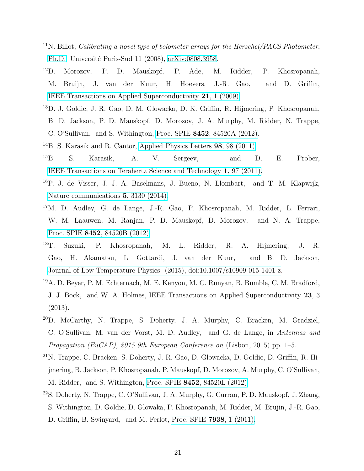- <span id="page-20-0"></span> $11$ N. Billot, *Calibrating a novel type of bolometer arrays for the Herschel/PACS Photometer*, [Ph.D.,](http://arxiv.org/abs/0808.3958) Université Paris-Sud 11 (2008), [arXiv:0808.3958.](http://arxiv.org/abs/0808.3958)
- <span id="page-20-1"></span><sup>12</sup>D. Morozov, P. D. Mauskopf, P. Ade, M. Ridder, P. Khosropanah, M. Bruijn, J. van der Kuur, H. Hoevers, J.-R. Gao, and D. Griffin, [IEEE Transactions on Applied Superconductivity](http://ieeexplore.ieee.org/xpls/abs_all.jsp?arnumber=5634093) 21, 1 (2009).
- <span id="page-20-2"></span><sup>13</sup>D. J. Goldie, J. R. Gao, D. M. Glowacka, D. K. Griffin, R. Hijmering, P. Khosropanah, B. D. Jackson, P. D. Mauskopf, D. Morozov, J. A. Murphy, M. Ridder, N. Trappe, C. O'Sullivan, and S. Withington, Proc. SPIE 8452[, 84520A \(2012\).](http://dx.doi.org/10.1117/12.925861)
- <span id="page-20-3"></span><sup>14</sup>B. S. Karasik and R. Cantor, [Applied Physics Letters](http://dx.doi.org/10.1063/1.3589367) **98**, 98 (2011).
- <span id="page-20-4"></span><sup>15</sup>B. S. Karasik, A. V. Sergeev, and D. E. Prober, [IEEE Transactions on Terahertz Science and Technology](http://dx.doi.org/10.1109/TTHZ.2011.2159560) 1, 97 (2011).
- <span id="page-20-5"></span><sup>16</sup>P. J. de Visser, J. J. A. Baselmans, J. Bueno, N. Llombart, and T. M. Klapwijk, [Nature communications](http://dx.doi.org/10.1038/ncomms4130) 5, 3130 (2014).
- <span id="page-20-6"></span><sup>17</sup>M. D. Audley, G. de Lange, J.-R. Gao, P. Khosropanah, M. Ridder, L. Ferrari, W. M. Laauwen, M. Ranjan, P. D. Mauskopf, D. Morozov, and N. A. Trappe, Proc. SPIE 8452[, 84520B \(2012\).](http://dx.doi.org/10.1117/12.925234)
- <span id="page-20-7"></span><sup>18</sup>T. Suzuki, P. Khosropanah, M. L. Ridder, R. A. Hijmering, J. R. Gao, H. Akamatsu, L. Gottardi, J. van der Kuur, and B. D. Jackson, [Journal of Low Temperature Physics \(2015\), doi:10.1007/s10909-015-1401-z.](http://dx.doi.org/ doi:10.1007/s10909-015-1401-z)
- <span id="page-20-8"></span><sup>19</sup>A. D. Beyer, P. M. Echternach, M. E. Kenyon, M. C. Runyan, B. Bumble, C. M. Bradford, J. J. Bock, and W. A. Holmes, IEEE Transactions on Applied Superconductivity 23, 3 (2013).
- <span id="page-20-9"></span><sup>20</sup>D. McCarthy, N. Trappe, S. Doherty, J. A. Murphy, C. Bracken, M. Gradziel, C. O'Sullivan, M. van der Vorst, M. D. Audley, and G. de Lange, in Antennas and Propagation (EuCAP), 2015 9th European Conference on (Lisbon, 2015) pp. 1–5.
- <span id="page-20-11"></span><sup>21</sup>N. Trappe, C. Bracken, S. Doherty, J. R. Gao, D. Glowacka, D. Goldie, D. Griffin, R. Hijmering, B. Jackson, P. Khosropanah, P. Mauskopf, D. Morozov, A. Murphy, C. O'Sullivan, M. Ridder, and S. Withington, Proc. SPIE 8452[, 84520L \(2012\).](http://dx.doi.org/10.1117/12.926760)
- <span id="page-20-10"></span><sup>22</sup>S. Doherty, N. Trappe, C. O'Sullivan, J. A. Murphy, G. Curran, P. D. Mauskopf, J. Zhang, S. Withington, D. Goldie, D. Glowaka, P. Khosropanah, M. Ridder, M. Brujin, J.-R. Gao, D. Griffin, B. Swinyard, and M. Ferlot, [Proc. SPIE](http://dx.doi.org/10.1117/12.881096) 7938, 1 (2011).